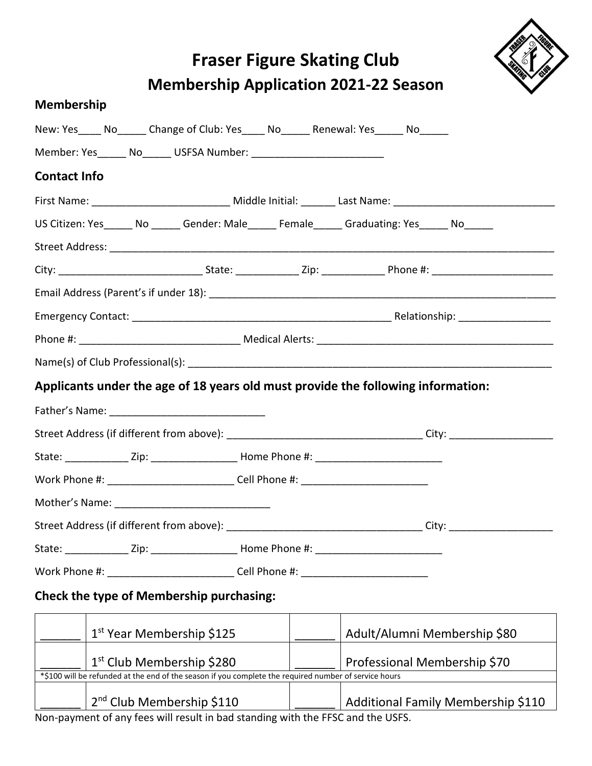# **Fraser Figure Skating Club Membership Application 2021-22 Season**



#### **Membership**

|                     |  | New: Yes_____ No______ Change of Club: Yes_____ No______ Renewal: Yes_____ No_____                    |  |                                                                                            |
|---------------------|--|-------------------------------------------------------------------------------------------------------|--|--------------------------------------------------------------------------------------------|
|                     |  | Member: Yes______ No______ USFSA Number: _____________________________                                |  |                                                                                            |
| <b>Contact Info</b> |  |                                                                                                       |  |                                                                                            |
|                     |  |                                                                                                       |  |                                                                                            |
|                     |  |                                                                                                       |  | US Citizen: Yes______ No ______ Gender: Male_____ Female_____ Graduating: Yes_____ No_____ |
|                     |  |                                                                                                       |  |                                                                                            |
|                     |  |                                                                                                       |  |                                                                                            |
|                     |  |                                                                                                       |  |                                                                                            |
|                     |  |                                                                                                       |  |                                                                                            |
|                     |  |                                                                                                       |  |                                                                                            |
|                     |  |                                                                                                       |  |                                                                                            |
|                     |  |                                                                                                       |  | Applicants under the age of 18 years old must provide the following information:           |
|                     |  |                                                                                                       |  |                                                                                            |
|                     |  |                                                                                                       |  |                                                                                            |
|                     |  | State: _______________Zip: _________________________Home Phone #: _________________________________   |  |                                                                                            |
|                     |  | Work Phone #: _______________________________Cell Phone #: _____________________                      |  |                                                                                            |
|                     |  |                                                                                                       |  |                                                                                            |
|                     |  |                                                                                                       |  |                                                                                            |
|                     |  | State: _______________Zip: ___________________________Home Phone #: ________________________________  |  |                                                                                            |
|                     |  | Work Phone #: ___________________________Cell Phone #: _________________________                      |  |                                                                                            |
|                     |  | Check the type of Membership purchasing:                                                              |  |                                                                                            |
|                     |  | 1 <sup>st</sup> Year Membership \$125                                                                 |  | Adult/Alumni Membership \$80                                                               |
|                     |  | 1 <sup>st</sup> Club Membership \$280                                                                 |  | Professional Membership \$70                                                               |
|                     |  | *\$100 will be refunded at the end of the season if you complete the required number of service hours |  |                                                                                            |

2<sup>nd</sup> Club Membership \$110 Additional Family Membership \$110 Non-payment of any fees will result in bad standing with the FFSC and the USFS.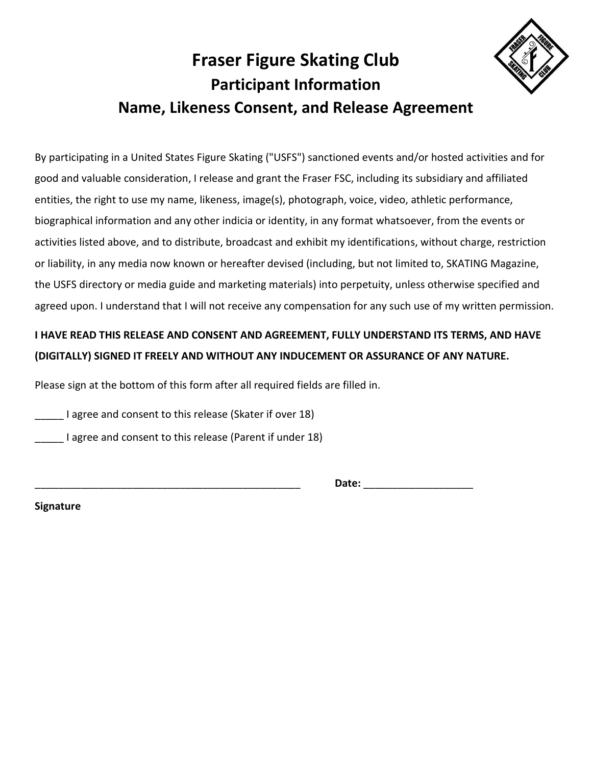# **Fraser Figure Skating Club Participant Information Name, Likeness Consent, and Release Agreement**

By participating in a United States Figure Skating ("USFS") sanctioned events and/or hosted activities and for good and valuable consideration, I release and grant the Fraser FSC, including its subsidiary and affiliated entities, the right to use my name, likeness, image(s), photograph, voice, video, athletic performance, biographical information and any other indicia or identity, in any format whatsoever, from the events or activities listed above, and to distribute, broadcast and exhibit my identifications, without charge, restriction or liability, in any media now known or hereafter devised (including, but not limited to, SKATING Magazine, the USFS directory or media guide and marketing materials) into perpetuity, unless otherwise specified and agreed upon. I understand that I will not receive any compensation for any such use of my written permission.

#### **I HAVE READ THIS RELEASE AND CONSENT AND AGREEMENT, FULLY UNDERSTAND ITS TERMS, AND HAVE (DIGITALLY) SIGNED IT FREELY AND WITHOUT ANY INDUCEMENT OR ASSURANCE OF ANY NATURE.**

Please sign at the bottom of this form after all required fields are filled in.

**I** agree and consent to this release (Skater if over 18)

I agree and consent to this release (Parent if under 18)

\_\_\_\_\_\_\_\_\_\_\_\_\_\_\_\_\_\_\_\_\_\_\_\_\_\_\_\_\_\_\_\_\_\_\_\_\_\_\_\_\_\_\_\_\_\_ **Date:** \_\_\_\_\_\_\_\_\_\_\_\_\_\_\_\_\_\_\_

**Signature**

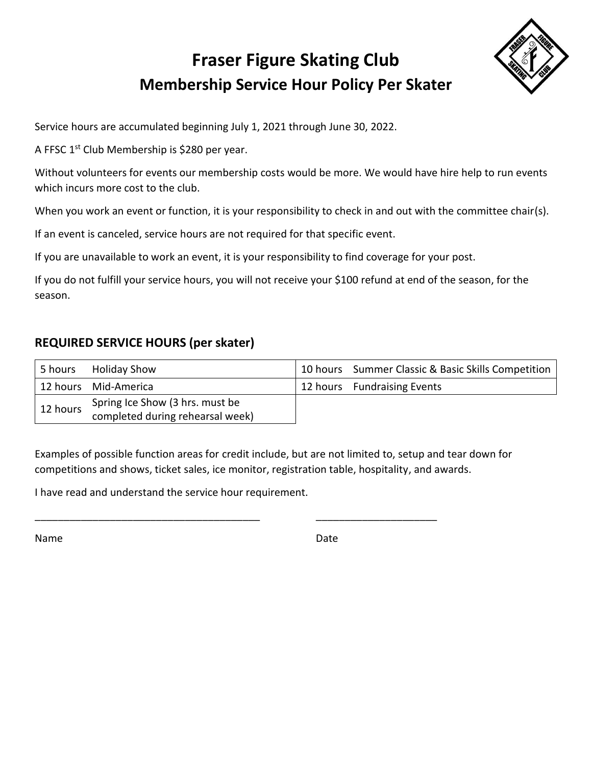## **Fraser Figure Skating Club Membership Service Hour Policy Per Skater**



Service hours are accumulated beginning July 1, 2021 through June 30, 2022.

A FFSC 1<sup>st</sup> Club Membership is \$280 per year.

Without volunteers for events our membership costs would be more. We would have hire help to run events which incurs more cost to the club.

When you work an event or function, it is your responsibility to check in and out with the committee chair(s).

If an event is canceled, service hours are not required for that specific event.

If you are unavailable to work an event, it is your responsibility to find coverage for your post.

If you do not fulfill your service hours, you will not receive your \$100 refund at end of the season, for the season.

#### **REQUIRED SERVICE HOURS (per skater)**

| 5 hours  | <b>Holiday Show</b>              | 10 hours Summer Classic & Basic Skills Competition |
|----------|----------------------------------|----------------------------------------------------|
|          | 12 hours Mid-America             | 12 hours Fundraising Events                        |
| 12 hours | Spring Ice Show (3 hrs. must be  |                                                    |
|          | completed during rehearsal week) |                                                    |

Examples of possible function areas for credit include, but are not limited to, setup and tear down for competitions and shows, ticket sales, ice monitor, registration table, hospitality, and awards.

\_\_\_\_\_\_\_\_\_\_\_\_\_\_\_\_\_\_\_\_\_\_\_\_\_\_\_\_\_\_\_\_\_\_\_\_\_\_\_ \_\_\_\_\_\_\_\_\_\_\_\_\_\_\_\_\_\_\_\_\_

I have read and understand the service hour requirement.

Name Date and the Date of the Date of the Date of the Date of the Date of the Date of the Date of the Date of the Date of the Date of the Date of the Date of the Date of the Date of the Date of the Date of the Date of the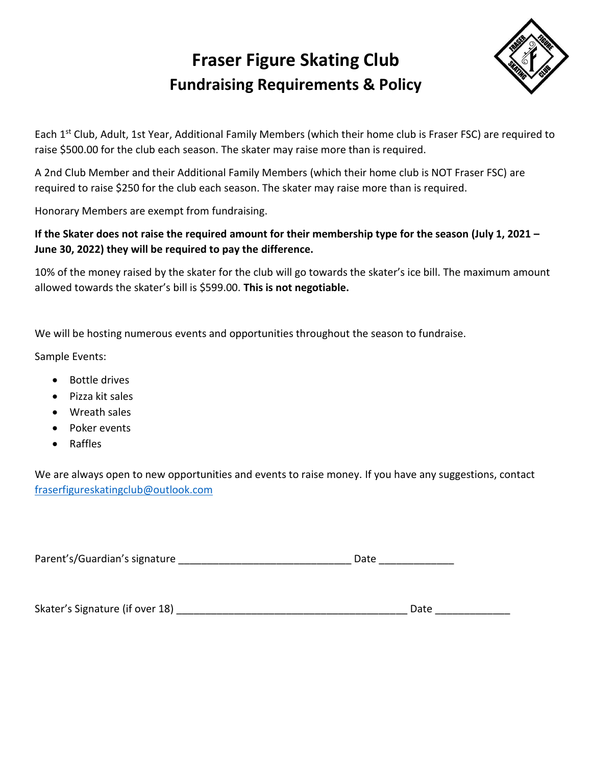### **Fraser Figure Skating Club Fundraising Requirements & Policy**



Each 1<sup>st</sup> Club, Adult, 1st Year, Additional Family Members (which their home club is Fraser FSC) are required to raise \$500.00 for the club each season. The skater may raise more than is required.

A 2nd Club Member and their Additional Family Members (which their home club is NOT Fraser FSC) are required to raise \$250 for the club each season. The skater may raise more than is required.

Honorary Members are exempt from fundraising.

#### **If the Skater does not raise the required amount for their membership type for the season (July 1, 2021 – June 30, 2022) they will be required to pay the difference.**

10% of the money raised by the skater for the club will go towards the skater's ice bill. The maximum amount allowed towards the skater's bill is \$599.00. **This is not negotiable.** 

We will be hosting numerous events and opportunities throughout the season to fundraise.

Sample Events:

- Bottle drives
- Pizza kit sales
- Wreath sales
- Poker events
- Raffles

We are always open to new opportunities and events to raise money. If you have any suggestions, contact [fraserfigureskatingclub@outlook.com](mailto:fraserfigureskatingclub@outlook.com)

Parent's/Guardian's signature expression of the contract of Date Date

Skater's Signature (if over 18) \_\_\_\_\_\_\_\_\_\_\_\_\_\_\_\_\_\_\_\_\_\_\_\_\_\_\_\_\_\_\_\_\_\_\_\_\_\_\_\_ Date \_\_\_\_\_\_\_\_\_\_\_\_\_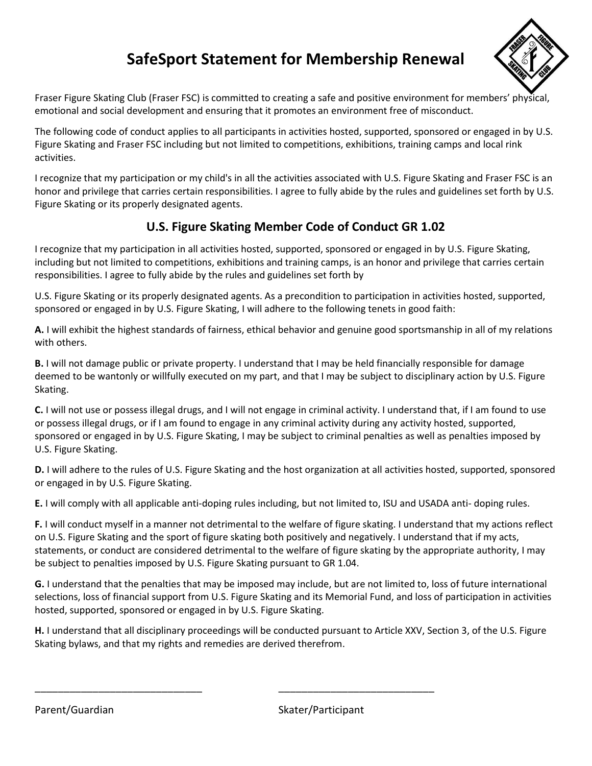### **SafeSport Statement for Membership Renewal**



Fraser Figure Skating Club (Fraser FSC) is committed to creating a safe and positive environment for members' physical, emotional and social development and ensuring that it promotes an environment free of misconduct.

The following code of conduct applies to all participants in activities hosted, supported, sponsored or engaged in by U.S. Figure Skating and Fraser FSC including but not limited to competitions, exhibitions, training camps and local rink activities.

I recognize that my participation or my child's in all the activities associated with U.S. Figure Skating and Fraser FSC is an honor and privilege that carries certain responsibilities. I agree to fully abide by the rules and guidelines set forth by U.S. Figure Skating or its properly designated agents.

#### **U.S. Figure Skating Member Code of Conduct GR 1.02**

I recognize that my participation in all activities hosted, supported, sponsored or engaged in by U.S. Figure Skating, including but not limited to competitions, exhibitions and training camps, is an honor and privilege that carries certain responsibilities. I agree to fully abide by the rules and guidelines set forth by

U.S. Figure Skating or its properly designated agents. As a precondition to participation in activities hosted, supported, sponsored or engaged in by U.S. Figure Skating, I will adhere to the following tenets in good faith:

**A.** I will exhibit the highest standards of fairness, ethical behavior and genuine good sportsmanship in all of my relations with others.

**B.** I will not damage public or private property. I understand that I may be held financially responsible for damage deemed to be wantonly or willfully executed on my part, and that I may be subject to disciplinary action by U.S. Figure Skating.

**C.** I will not use or possess illegal drugs, and I will not engage in criminal activity. I understand that, if I am found to use or possess illegal drugs, or if I am found to engage in any criminal activity during any activity hosted, supported, sponsored or engaged in by U.S. Figure Skating, I may be subject to criminal penalties as well as penalties imposed by U.S. Figure Skating.

**D.** I will adhere to the rules of U.S. Figure Skating and the host organization at all activities hosted, supported, sponsored or engaged in by U.S. Figure Skating.

**E.** I will comply with all applicable anti-doping rules including, but not limited to, ISU and USADA anti- doping rules.

**F.** I will conduct myself in a manner not detrimental to the welfare of figure skating. I understand that my actions reflect on U.S. Figure Skating and the sport of figure skating both positively and negatively. I understand that if my acts, statements, or conduct are considered detrimental to the welfare of figure skating by the appropriate authority, I may be subject to penalties imposed by U.S. Figure Skating pursuant to GR 1.04.

**G.** I understand that the penalties that may be imposed may include, but are not limited to, loss of future international selections, loss of financial support from U.S. Figure Skating and its Memorial Fund, and loss of participation in activities hosted, supported, sponsored or engaged in by U.S. Figure Skating.

**H.** I understand that all disciplinary proceedings will be conducted pursuant to Article XXV, Section 3, of the U.S. Figure Skating bylaws, and that my rights and remedies are derived therefrom.

\_\_\_\_\_\_\_\_\_\_\_\_\_\_\_\_\_\_\_\_\_\_\_\_\_\_\_\_\_ \_\_\_\_\_\_\_\_\_\_\_\_\_\_\_\_\_\_\_\_\_\_\_\_\_\_\_